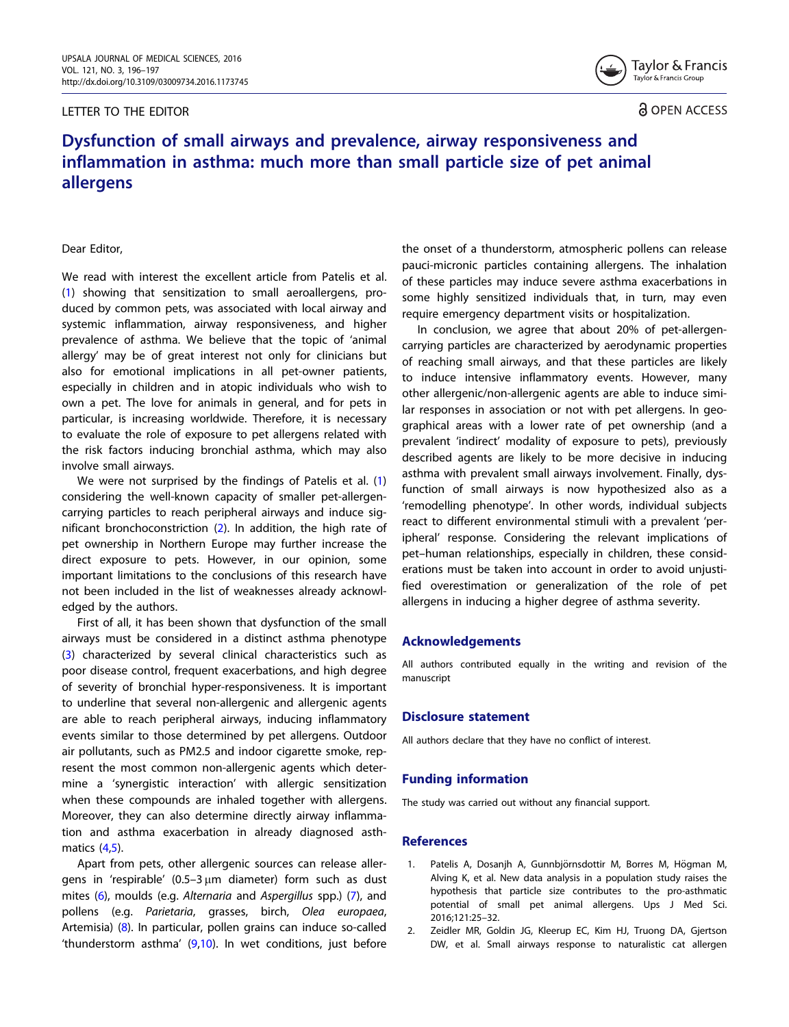## LETTER TO THE EDITOR



**a** OPEN ACCESS

# Dysfunction of small airways and prevalence, airway responsiveness and inflammation in asthma: much more than small particle size of pet animal allergens

Dear Editor,

We read with interest the excellent article from Patelis et al. (1) showing that sensitization to small aeroallergens, produced by common pets, was associated with local airway and systemic inflammation, airway responsiveness, and higher prevalence of asthma. We believe that the topic of 'animal allergy' may be of great interest not only for clinicians but also for emotional implications in all pet-owner patients, especially in children and in atopic individuals who wish to own a pet. The love for animals in general, and for pets in particular, is increasing worldwide. Therefore, it is necessary to evaluate the role of exposure to pet allergens related with the risk factors inducing bronchial asthma, which may also involve small airways.

We were not surprised by the findings of Patelis et al. (1) considering the well-known capacity of smaller pet-allergencarrying particles to reach peripheral airways and induce significant bronchoconstriction (2). In addition, the high rate of pet ownership in Northern Europe may further increase the direct exposure to pets. However, in our opinion, some important limitations to the conclusions of this research have not been included in the list of weaknesses already acknowledged by the authors.

First of all, it has been shown that dysfunction of the small airways must be considered in a distinct asthma phenotype [\(3](#page-1-0)) characterized by several clinical characteristics such as poor disease control, frequent exacerbations, and high degree of severity of bronchial hyper-responsiveness. It is important to underline that several non-allergenic and allergenic agents are able to reach peripheral airways, inducing inflammatory events similar to those determined by pet allergens. Outdoor air pollutants, such as PM2.5 and indoor cigarette smoke, represent the most common non-allergenic agents which determine a 'synergistic interaction' with allergic sensitization when these compounds are inhaled together with allergens. Moreover, they can also determine directly airway inflammation and asthma exacerbation in already diagnosed asthmatics [\(4](#page-1-0),[5\)](#page-1-0).

Apart from pets, other allergenic sources can release allergens in 'respirable'  $(0.5-3 \mu m)$  diameter) form such as dust mites ([6\)](#page-1-0), moulds (e.g. Alternaria and Aspergillus spp.) ([7](#page-1-0)), and pollens (e.g. Parietaria, grasses, birch, Olea europaea, Artemisia) ([8\)](#page-1-0). In particular, pollen grains can induce so-called 'thunderstorm asthma' ([9,10](#page-1-0)). In wet conditions, just before the onset of a thunderstorm, atmospheric pollens can release pauci-micronic particles containing allergens. The inhalation of these particles may induce severe asthma exacerbations in some highly sensitized individuals that, in turn, may even require emergency department visits or hospitalization.

In conclusion, we agree that about 20% of pet-allergencarrying particles are characterized by aerodynamic properties of reaching small airways, and that these particles are likely to induce intensive inflammatory events. However, many other allergenic/non-allergenic agents are able to induce similar responses in association or not with pet allergens. In geographical areas with a lower rate of pet ownership (and a prevalent 'indirect' modality of exposure to pets), previously described agents are likely to be more decisive in inducing asthma with prevalent small airways involvement. Finally, dysfunction of small airways is now hypothesized also as a 'remodelling phenotype'. In other words, individual subjects react to different environmental stimuli with a prevalent 'peripheral' response. Considering the relevant implications of pet–human relationships, especially in children, these considerations must be taken into account in order to avoid unjustified overestimation or generalization of the role of pet allergens in inducing a higher degree of asthma severity.

## Acknowledgements

All authors contributed equally in the writing and revision of the manuscript

#### Disclosure statement

All authors declare that they have no conflict of interest.

## Funding information

The study was carried out without any financial support.

### References

- 1. Patelis A, Dosanjh A, Gunnbjörnsdottir M, Borres M, Högman M, Alving K, et al. New data analysis in a population study raises the hypothesis that particle size contributes to the pro-asthmatic potential of small pet animal allergens. Ups J Med Sci. 2016;121:25–32.
- 2. Zeidler MR, Goldin JG, Kleerup EC, Kim HJ, Truong DA, Gjertson DW, et al. Small airways response to naturalistic cat allergen